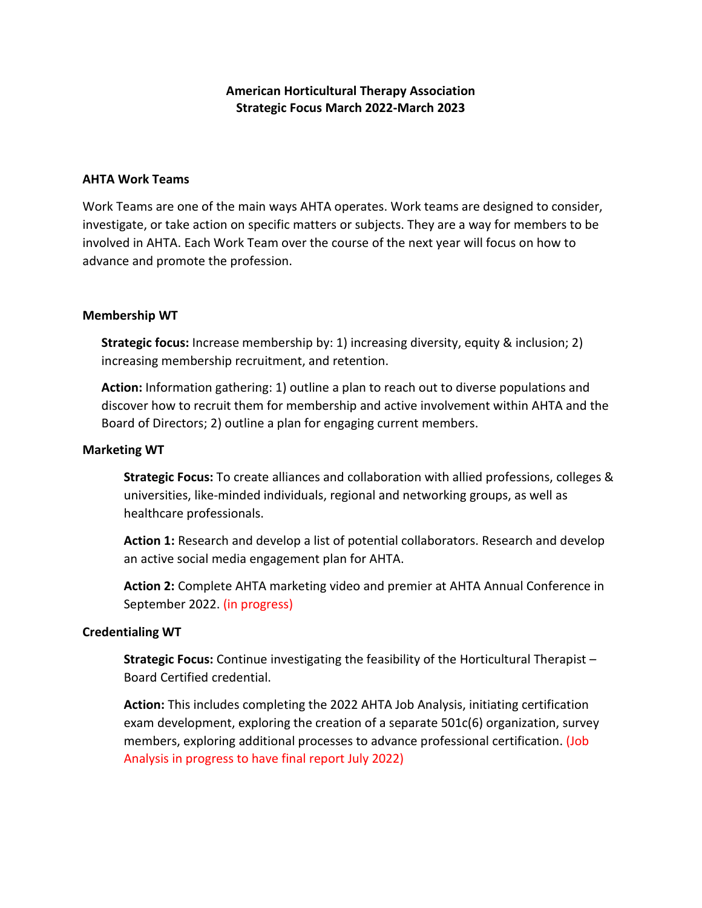# **American Horticultural Therapy Association Strategic Focus March 2022-March 2023**

### **AHTA Work Teams**

Work Teams are one of the main ways AHTA operates. Work teams are designed to consider, investigate, or take action on specific matters or subjects. They are a way for members to be involved in AHTA. Each Work Team over the course of the next year will focus on how to advance and promote the profession.

#### **Membership WT**

**Strategic focus:** Increase membership by: 1) increasing diversity, equity & inclusion; 2) increasing membership recruitment, and retention.

**Action:** Information gathering: 1) outline a plan to reach out to diverse populations and discover how to recruit them for membership and active involvement within AHTA and the Board of Directors; 2) outline a plan for engaging current members.

#### **Marketing WT**

**Strategic Focus:** To create alliances and collaboration with allied professions, colleges & universities, like-minded individuals, regional and networking groups, as well as healthcare professionals.

**Action 1:** Research and develop a list of potential collaborators. Research and develop an active social media engagement plan for AHTA.

**Action 2:** Complete AHTA marketing video and premier at AHTA Annual Conference in September 2022. (in progress)

#### **Credentialing WT**

**Strategic Focus:** Continue investigating the feasibility of the Horticultural Therapist – Board Certified credential.

**Action:** This includes completing the 2022 AHTA Job Analysis, initiating certification exam development, exploring the creation of a separate 501c(6) organization, survey members, exploring additional processes to advance professional certification. (Job Analysis in progress to have final report July 2022)